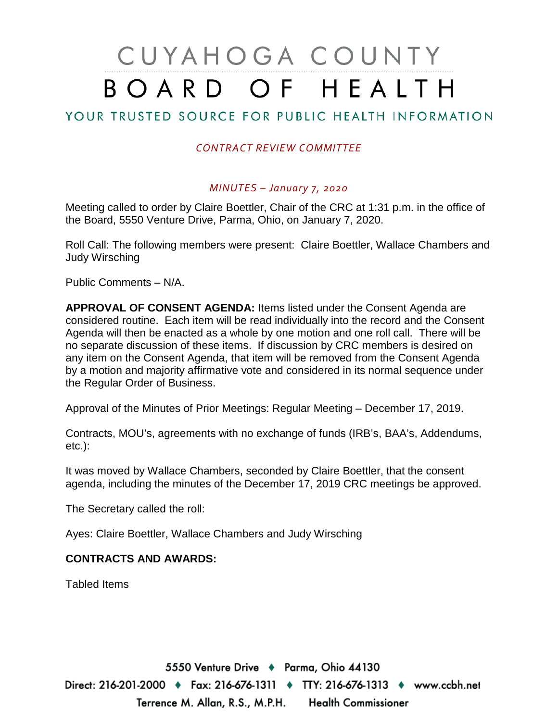# CUYAHOGA COUNTY BOARD OF HEALTH

## YOUR TRUSTED SOURCE FOR PUBLIC HEALTH INFORMATION

### *CONTRACT REVIEW COMMITTEE*

#### *MINUTES – January 7, 2020*

Meeting called to order by Claire Boettler, Chair of the CRC at 1:31 p.m. in the office of the Board, 5550 Venture Drive, Parma, Ohio, on January 7, 2020.

Roll Call: The following members were present: Claire Boettler, Wallace Chambers and Judy Wirsching

Public Comments – N/A.

**APPROVAL OF CONSENT AGENDA:** Items listed under the Consent Agenda are considered routine. Each item will be read individually into the record and the Consent Agenda will then be enacted as a whole by one motion and one roll call. There will be no separate discussion of these items. If discussion by CRC members is desired on any item on the Consent Agenda, that item will be removed from the Consent Agenda by a motion and majority affirmative vote and considered in its normal sequence under the Regular Order of Business.

Approval of the Minutes of Prior Meetings: Regular Meeting – December 17, 2019.

Contracts, MOU's, agreements with no exchange of funds (IRB's, BAA's, Addendums, etc.):

It was moved by Wallace Chambers, seconded by Claire Boettler, that the consent agenda, including the minutes of the December 17, 2019 CRC meetings be approved.

The Secretary called the roll:

Ayes: Claire Boettler, Wallace Chambers and Judy Wirsching

#### **CONTRACTS AND AWARDS:**

Tabled Items

5550 Venture Drive + Parma, Ohio 44130 Direct: 216-201-2000 ♦ Fax: 216-676-1311 ♦ TTY: 216-676-1313 ♦ www.ccbh.net Terrence M. Allan, R.S., M.P.H. Health Commissioner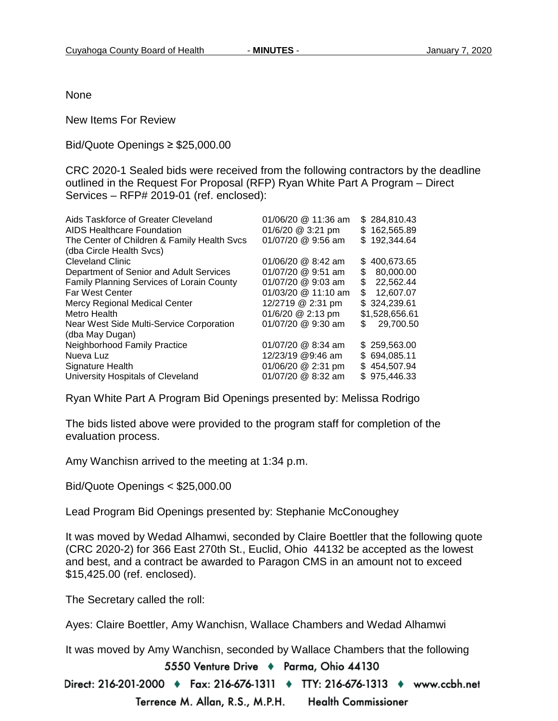None

New Items For Review

#### Bid/Quote Openings ≥ \$25,000.00

CRC 2020-1 Sealed bids were received from the following contractors by the deadline outlined in the Request For Proposal (RFP) Ryan White Part A Program – Direct Services – RFP# 2019-01 (ref. enclosed):

| \$284,810.43   |
|----------------|
| \$162,565.89   |
| \$192,344.64   |
|                |
| 400,673.65     |
| 80,000.00      |
| 22,562.44      |
| 12,607.07      |
| \$324,239.61   |
| \$1,528,656.61 |
| 29,700.50      |
|                |
| \$259,563.00   |
| \$694,085.11   |
| \$454,507.94   |
| \$975,446.33   |
|                |

Ryan White Part A Program Bid Openings presented by: Melissa Rodrigo

The bids listed above were provided to the program staff for completion of the evaluation process.

Amy Wanchisn arrived to the meeting at 1:34 p.m.

Bid/Quote Openings < \$25,000.00

Lead Program Bid Openings presented by: Stephanie McConoughey

It was moved by Wedad Alhamwi, seconded by Claire Boettler that the following quote (CRC 2020-2) for 366 East 270th St., Euclid, Ohio 44132 be accepted as the lowest and best, and a contract be awarded to Paragon CMS in an amount not to exceed \$15,425.00 (ref. enclosed).

The Secretary called the roll:

Ayes: Claire Boettler, Amy Wanchisn, Wallace Chambers and Wedad Alhamwi

It was moved by Amy Wanchisn, seconded by Wallace Chambers that the following

5550 Venture Drive + Parma, Ohio 44130

Direct: 216-201-2000 ♦ Fax: 216-676-1311 ♦ TTY: 216-676-1313 ♦ www.ccbh.net Terrence M. Allan, R.S., M.P.H. **Health Commissioner**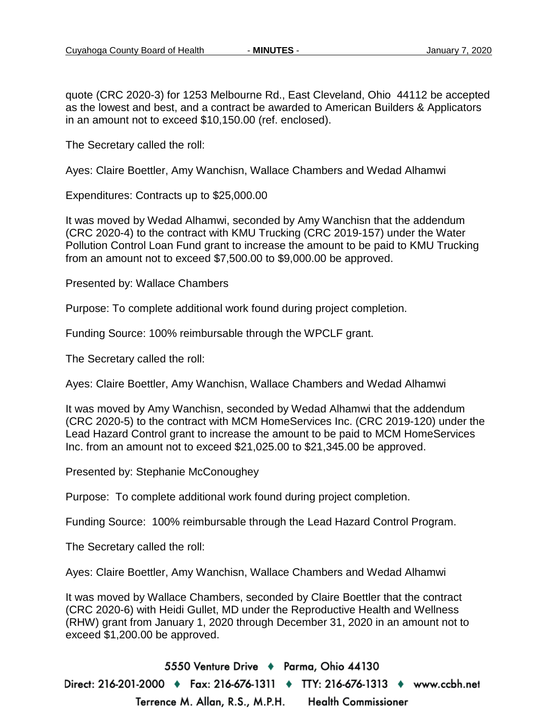quote (CRC 2020-3) for 1253 Melbourne Rd., East Cleveland, Ohio 44112 be accepted as the lowest and best, and a contract be awarded to American Builders & Applicators in an amount not to exceed \$10,150.00 (ref. enclosed).

The Secretary called the roll:

Ayes: Claire Boettler, Amy Wanchisn, Wallace Chambers and Wedad Alhamwi

Expenditures: Contracts up to \$25,000.00

It was moved by Wedad Alhamwi, seconded by Amy Wanchisn that the addendum (CRC 2020-4) to the contract with KMU Trucking (CRC 2019-157) under the Water Pollution Control Loan Fund grant to increase the amount to be paid to KMU Trucking from an amount not to exceed \$7,500.00 to \$9,000.00 be approved.

Presented by: Wallace Chambers

Purpose: To complete additional work found during project completion.

Funding Source: 100% reimbursable through the WPCLF grant.

The Secretary called the roll:

Ayes: Claire Boettler, Amy Wanchisn, Wallace Chambers and Wedad Alhamwi

It was moved by Amy Wanchisn, seconded by Wedad Alhamwi that the addendum (CRC 2020-5) to the contract with MCM HomeServices Inc. (CRC 2019-120) under the Lead Hazard Control grant to increase the amount to be paid to MCM HomeServices Inc. from an amount not to exceed \$21,025.00 to \$21,345.00 be approved.

Presented by: Stephanie McConoughey

Purpose: To complete additional work found during project completion.

Funding Source: 100% reimbursable through the Lead Hazard Control Program.

The Secretary called the roll:

Ayes: Claire Boettler, Amy Wanchisn, Wallace Chambers and Wedad Alhamwi

It was moved by Wallace Chambers, seconded by Claire Boettler that the contract (CRC 2020-6) with Heidi Gullet, MD under the Reproductive Health and Wellness (RHW) grant from January 1, 2020 through December 31, 2020 in an amount not to exceed \$1,200.00 be approved.

5550 Venture Drive + Parma, Ohio 44130 Direct: 216-201-2000 ♦ Fax: 216-676-1311 ♦ TTY: 216-676-1313 ♦ www.ccbh.net Terrence M. Allan, R.S., M.P.H. **Health Commissioner**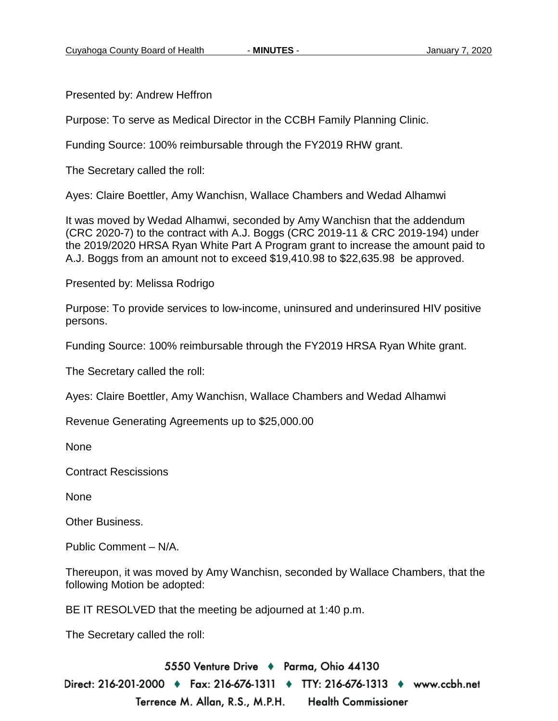Presented by: Andrew Heffron

Purpose: To serve as Medical Director in the CCBH Family Planning Clinic.

Funding Source: 100% reimbursable through the FY2019 RHW grant.

The Secretary called the roll:

Ayes: Claire Boettler, Amy Wanchisn, Wallace Chambers and Wedad Alhamwi

It was moved by Wedad Alhamwi, seconded by Amy Wanchisn that the addendum (CRC 2020-7) to the contract with A.J. Boggs (CRC 2019-11 & CRC 2019-194) under the 2019/2020 HRSA Ryan White Part A Program grant to increase the amount paid to A.J. Boggs from an amount not to exceed \$19,410.98 to \$22,635.98 be approved.

Presented by: Melissa Rodrigo

Purpose: To provide services to low-income, uninsured and underinsured HIV positive persons.

Funding Source: 100% reimbursable through the FY2019 HRSA Ryan White grant.

The Secretary called the roll:

Ayes: Claire Boettler, Amy Wanchisn, Wallace Chambers and Wedad Alhamwi

Revenue Generating Agreements up to \$25,000.00

None

Contract Rescissions

None

Other Business.

Public Comment – N/A.

Thereupon, it was moved by Amy Wanchisn, seconded by Wallace Chambers, that the following Motion be adopted:

BE IT RESOLVED that the meeting be adjourned at 1:40 p.m.

The Secretary called the roll:

5550 Venture Drive + Parma, Ohio 44130 Direct: 216-201-2000 ♦ Fax: 216-676-1311 ♦ TTY: 216-676-1313 ♦ www.ccbh.net Terrence M. Allan, R.S., M.P.H. Health Commissioner